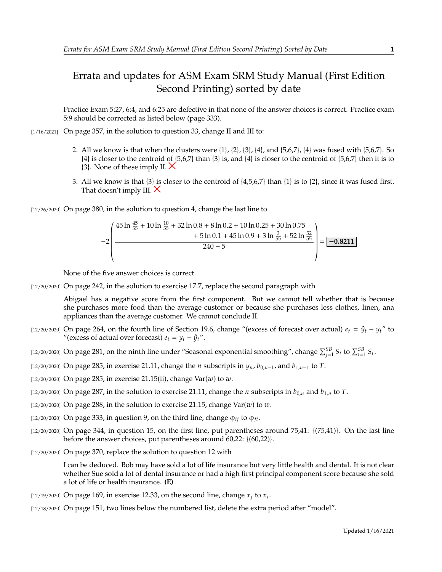## Errata and updates for ASM Exam SRM Study Manual (First Edition Second Printing) sorted by date

Practice Exam 5:27, 6:4, and 6:25 are defective in that none of the answer choices is correct. Practice exam 5:9 should be corrected as listed below (page 333).

[1/16/2021] On page 357, in the solution to question 33, change II and III to:

- 2. All we know is that when the clusters were  $\{1\}$ ,  $\{2\}$ ,  $\{3\}$ ,  $\{4\}$ , and  $\{5,6,7\}$ ,  $\{4\}$  was fused with  $\{5,6,7\}$ . So {4} is closer to the centroid of {5,6,7} than {3} is, and {4} is closer to the centroid of {5,6,7} then it is to  $\{3\}$ . None of these imply II.  $\times$
- 3. All we know is that  $\{3\}$  is closer to the centroid of  $\{4,5,6,7\}$  than  $\{1\}$  is to  $\{2\}$ , since it was fused first. That doesn't imply III.  $\times$

[12/26/2020] On page 380, in the solution to question 4, change the last line to

$$
-2\left(\frac{45\ln\frac{45}{55}+10\ln\frac{10}{55}+32\ln 0.8+8\ln 0.2+10\ln 0.25+30\ln 0.75+5\ln 0.1+45\ln 0.9+3\ln\frac{3}{55}+52\ln\frac{52}{55}}{240-5}\right)=\boxed{-0.8211}
$$

 $^{\prime}$ 

None of the five answer choices is correct.

«

[12/20/2020] On page 242, in the solution to exercise 17.7, replace the second paragraph with

Abigael has a negative score from the first component. But we cannot tell whether that is because she purchases more food than the average customer or because she purchases less clothes, linen, ana appliances than the average customer. We cannot conclude II.

- [12/20/2020] On page 264, on the fourth line of Section 19.6, change "(excess of forecast over actual)  $e_t = \hat{y}_t y_t$ " to "(excess of actual over forecast)  $e_t = v_t - \hat{v}_t$ ".
- [12/20/2020] On page 281, on the ninth line under "Seasonal exponential smoothing", change  $\sum_{j=1}^{5B} S_t$  to  $\sum_{t=1}^{5B} S_t$ .
- [12/20/2020] On page 285, in exercise 21.11, change the *n* subscripts in  $y_n$ ,  $b_{0,n-1}$ , and  $b_{1,n-1}$  to T.
- $[12/20/2020]$  On page 285, in exercise 21.15(ii), change Var(w) to w.
- [12/20/2020] On page 287, in the solution to exercise 21.11, change the *n* subscripts in  $b_{0,n}$  and  $b_{1,n}$  to *T*.
- [12/20/2020] On page 288, in the solution to exercise 21.15, change  $Var(w)$  to  $w$ .
- [12/20/2020] On page 333, in question 9, on the third line, change  $\phi_{ii}$  to  $\phi_{ii}$ .
- $[12/20/2020]$  On page 344, in question 15, on the first line, put parentheses around 75,41:  $\{(75,41)\}$ . On the last line before the answer choices, put parentheses around 60,22: {(60,22)}.
- [12/20/2020] On page 370, replace the solution to question 12 with

I can be deduced. Bob may have sold a lot of life insurance but very little health and dental. It is not clear whether Sue sold a lot of dental insurance or had a high first principal component score because she sold a lot of life or health insurance. **(E)**

- [12/19/2020] On page 169, in exercise 12.33, on the second line, change  $x_j$  to  $x_i$ .
- [12/18/2020] On page 151, two lines below the numbered list, delete the extra period after "model".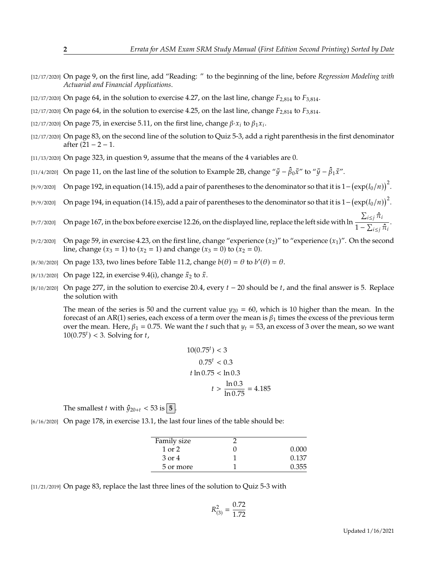- [12/17/2020] On page 9, on the first line, add "Reading: " to the beginning of the line, before *Regression Modeling with Actuarial and Financial Applications*.
- [12/17/2020] On page 64, in the solution to exercise 4.27, on the last line, change  $F_{2,814}$  to  $F_{3,814}$ .
- $[12/17/2020]$  On page 64, in the solution to exercise 4.25, on the last line, change  $F_{2,814}$  to  $F_{3,814}$ .
- [12/17/2020] On page 75, in exercise 5.11, on the first line, change  $\beta \cdot x_i$  to  $\beta_1 x_i$ .
- [12/17/2020] On page 83, on the second line of the solution to Quiz 5-3, add a right parenthesis in the first denominator after  $(21 – 2 – 1.$
- [11/13/2020] On page 323, in question 9, assume that the means of the 4 variables are 0.
- [11/4/2020] On page 11, on the last line of the solution to Example 2B, change " $\bar{y} \hat{\beta}_0 \bar{x}$ " to " $\bar{y} \hat{\beta}_1 \bar{x}$ ".
- [9/9/2020] On page 192, in equation (14.15), add a pair of parentheses to the denominator so that it is  $1-(\exp(l_0/n))^2$ .
- [9/9/2020] On page 194, in equation (14.15), add a pair of parentheses to the denominator so that it is  $1-(\exp(l_0/n))^2$ .
- [9/7/2020] On page 167, in the box before exercise 12.26, on the displayed line, replace the left side with ln  $\frac{\sum_{i \leq j} \hat{\pi}_i}{\sigma}$  $\frac{1}{1-\sum_{i\leq j}\hat{\pi}_i}$ .
- [9/2/2020] On page 59, in exercise 4.23, on the first line, change "experience  $(x_2)$ " to "experience  $(x_1)$ ". On the second line, change  $(x_3 = 1)$  to  $(x_2 = 1)$  and change  $(x_3 = 0)$  to  $(x_2 = 0)$ .
- [8/30/2020] On page 133, two lines before Table 11.2, change  $b(\theta) = \theta$  to  $b'(\theta) = \theta$ .
- [8/13/2020] On page 122, in exercise 9.4(i), change  $\bar{x}_2$  to  $\bar{x}$ .
- [8/10/2020] On page 277, in the solution to exercise 20.4, every  $t-20$  should be  $t$ , and the final answer is 5. Replace the solution with

The mean of the series is 50 and the current value  $y_{20} = 60$ , which is 10 higher than the mean. In the forecast of an AR(1) series, each excess of a term over the mean is  $\beta_1$  times the excess of the previous term over the mean. Here,  $\beta_1 = 0.75$ . We want the t such that  $y_t = 53$ , an excess of 3 over the mean, so we want  $10(0.75<sup>t</sup>) < 3$ . Solving for  $t$ ,

$$
10(0.75^{t}) < 3
$$
\n
$$
0.75^{t} < 0.3
$$
\n
$$
t \ln 0.75 < \ln 0.3
$$
\n
$$
t > \frac{\ln 0.3}{\ln 0.75} = 4.185
$$

The smallest *t* with  $\hat{y}_{20+t}$  < 53 is  $\vert$  5  $\vert$ .

[6/16/2020] On page 178, in exercise 13.1, the last four lines of the table should be:

| Family size |       |
|-------------|-------|
| $1$ or $2$  | 0.000 |
| 3 or 4      | 0.137 |
| 5 or more   | 0.355 |
|             |       |

[11/21/2019] On page 83, replace the last three lines of the solution to Quiz 5-3 with

$$
R_{(3)}^2 = \frac{0.72}{1.72}
$$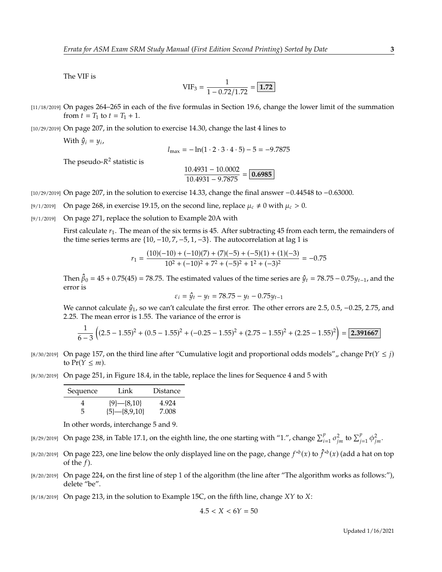The VIF is

$$
VIF_3 = \frac{1}{1 - 0.72/1.72} = \boxed{1.72}
$$

[11/18/2019] On pages 264–265 in each of the five formulas in Section 19.6, change the lower limit of the summation from  $t = T_1$  to  $t = T_1 + 1$ .

[10/29/2019] On page 207, in the solution to exercise 14.30, change the last 4 lines to

With  $\hat{y}_i = y_i$ ,

$$
l_{\text{max}} = -\ln(1 \cdot 2 \cdot 3 \cdot 4 \cdot 5) - 5 = -9.7875
$$

The pseudo- $R^2$  statistic is

$$
\frac{10.4931 - 10.0002}{10.4931 - 9.7875} = \boxed{0.6985}
$$

[10/29/2019] On page 207, in the solution to exercise 14.33, change the final answer <sup>−</sup>0.<sup>44548</sup> to <sup>−</sup>0.63000.

- [9/1/2019] On page 268, in exercise 19.15, on the second line, replace  $\mu_c \neq 0$  with  $\mu_c > 0$ .
- [9/1/2019] On page 271, replace the solution to Example 20A with

First calculate  $r_1$ . The mean of the six terms is 45. After subtracting 45 from each term, the remainders of the time series terms are  $\{10, -10, 7, -5, 1, -3\}$ . The autocorrelation at lag 1 is

$$
r_1 = \frac{(10)(-10) + (-10)(7) + (7)(-5) + (-5)(1) + (1)(-3)}{10^2 + (-10)^2 + 7^2 + (-5)^2 + 1^2 + (-3)^2} = -0.75
$$

Then  $\hat{\beta}_0 = 45 + 0.75(45) = 78.75$ . The estimated values of the time series are  $\hat{y}_t = 78.75 - 0.75y_{t-1}$ , and the error is error is

$$
\varepsilon_i = \hat{y}_t - y_t = 78.75 - y_t - 0.75y_{t-1}
$$

We cannot calculate  $\hat{y}_1$ , so we can't calculate the first error. The other errors are 2.5, 0.5, -0.25, 2.75, and  $2.25$ . The mean error is 1.55. The variance of the error is <sup>2</sup>.25. The mean error is 1.55. The variance of the error is

$$
\frac{1}{6-3}\left((2.5-1.55)^2 + (0.5-1.55)^2 + (-0.25-1.55)^2 + (2.75-1.55)^2 + (2.25-1.55)^2\right) = \boxed{2.391667}
$$

- [8/30/2019] On page 157, on the third line after "Cumulative logit and proportional odds models", change  $Pr(Y \leq i)$ to  $Pr(Y \leq m)$ .
- [8/30/2019] On page 251, in Figure 18.4, in the table, replace the lines for Sequence 4 and 5 with

| Sequence | Link            | <b>Distance</b> |
|----------|-----------------|-----------------|
| 4        | ${9}$ -{8,10}   | 4.924           |
| 5        | ${5}$ -{8,9,10} | 7.008           |

In other words, interchange 5 and 9.

- [8/29/2019] On page 238, in Table 17.1, on the eighth line, the one starting with "1.", change  $\sum_{i=1}^{p} \sigma_{jm}^2$  to  $\sum_{j=1}^{p} \phi_{jm}^2$ .
- [8/20/2019] On page 223, one line below the only displayed line on the page, change  $f^{*b}(x)$  to  $\hat{f}^{*b}(x)$  (add a hat on top of the f) of the  $f$ ).
- [8/20/2019] On page 224, on the first line of step 1 of the algorithm (the line after "The algorithm works as follows:"), delete "be".
- $[8/18/2019]$  On page 213, in the solution to Example 15C, on the fifth line, change  $XY$  to  $X$ :

$$
4.5 < X < 6Y = 50
$$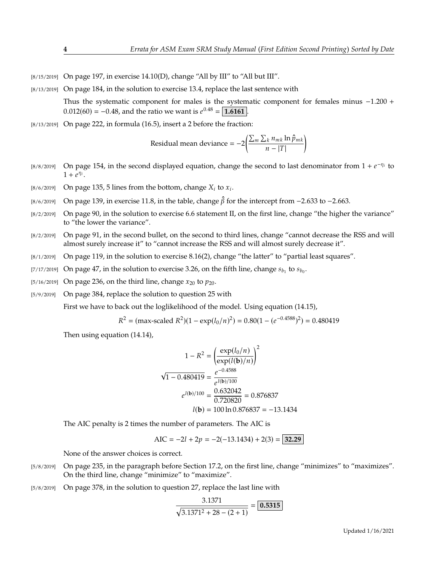- $[8/15/2019]$  On page 197, in exercise 14.10(D), change "All by III" to "All but III".
- [8/13/2019] On page 184, in the solution to exercise 13.4, replace the last sentence with

Thus the systematic component for males is the systematic component for females minus <sup>−</sup>1.<sup>200</sup> <sup>+</sup>  $0.012(60) = -0.48$ , and the ratio we want is  $e^{0.48} = \boxed{1.6161}$ .

[8/13/2019] On page 222, in formula (16.5), insert a 2 before the fraction:

Residual mean deviance =  $-2\left(\frac{\sum_m\sum_k n_{mk}\ln\hat{p}_{mk}}{\sum_k \sum_k n_{mk}\ln\hat{p}_{mk}}\right)$  $\overline{n}$  – |T| Ι

- [8/8/2019] On page 154, in the second displayed equation, change the second to last denominator from  $1 + e^{-\eta_i}$  to  $1 + e^{\eta_i}$  $1 + \overline{e^{\eta_i}}$ .
- [8/6/2019] On page 135, 5 lines from the bottom, change  $X_i$  to  $x_i$ .
- [8/6/2019] On page 139, in exercise 11.8, in the table, change  $\hat{\beta}$  for the intercept from −2.633 to −2.663.<br>[8/2/2019] On page 90, in the solution to exercise 6.6 statement II, on the first line, change "the higher
- [8/2/2019] On page 90, in the solution to exercise 6.6 statement II, on the first line, change "the higher the variance" to "the lower the variance".
- [8/2/2019] On page 91, in the second bullet, on the second to third lines, change "cannot decrease the RSS and will almost surely increase it" to "cannot increase the RSS and will almost surely decrease it".
- [8/1/2019] On page 119, in the solution to exercise 8.16(2), change "the latter" to "partial least squares".
- [7/17/2019] On page 47, in the solution to exercise 3.26, on the fifth line, change  $s_{b_1}$  to  $s_{b_0}$ .
- [5/16/2019] On page 236, on the third line, change  $x_{20}$  to  $p_{20}$ .<br>[5/9/2019] On page 384, replace the solution to question 25
- On page 384, replace the solution to question 25 with

First we have to back out the loglikelihood of the model. Using equation (14.15),

$$
R^{2} = (\text{max-scaled } R^{2})(1 - \exp(l_{0}/n)^{2}) = 0.80(1 - (e^{-0.4588})^{2}) = 0.480419
$$

Then using equation (14.14),

$$
1 - R^2 = \left(\frac{\exp(l_0/n)}{\exp(l(\mathbf{b})/n)}\right)^2
$$
  

$$
\sqrt{1 - 0.480419} = \frac{e^{-0.4588}}{e^{l(\mathbf{b})/100}}
$$
  

$$
e^{l(\mathbf{b})/100} = \frac{0.632042}{0.720820} = 0.876837
$$
  

$$
l(\mathbf{b}) = 100 \ln 0.876837 = -13.1434
$$

The AIC penalty is 2 times the number of parameters. The AIC is

$$
AIC = -2l + 2p = -2(-13.1434) + 2(3) = 32.29
$$

None of the answer choices is correct.

- [5/8/2019] On page 235, in the paragraph before Section 17.2, on the first line, change "minimizes" to "maximizes". On the third line, change "minimize" to "maximize".
- [5/8/2019] On page 378, in the solution to question 27, replace the last line with

$$
\frac{3.1371}{\sqrt{3.1371^2 + 28 - (2 + 1)}} = \boxed{0.5315}
$$